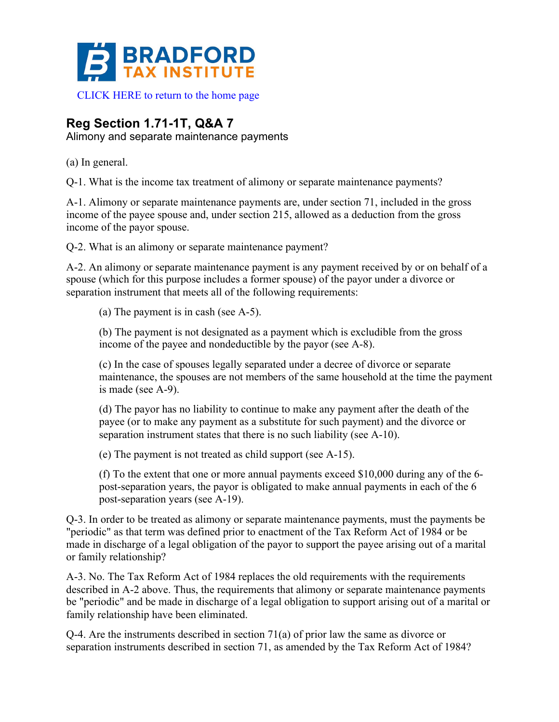

## **Reg Section 1.71-1T, Q&A 7**

Alimony and separate maintenance payments

(a) In general.

Q-1. What is the income tax treatment of alimony or separate maintenance payments?

A-1. Alimony or separate maintenance payments are, under section 71, included in the gross income of the payee spouse and, under section 215, allowed as a deduction from the gross income of the payor spouse.

Q-2. What is an alimony or separate maintenance payment?

A-2. An alimony or separate maintenance payment is any payment received by or on behalf of a spouse (which for this purpose includes a former spouse) of the payor under a divorce or separation instrument that meets all of the following requirements:

(a) The payment is in cash (see A-5).

(b) The payment is not designated as a payment which is excludible from the gross income of the payee and nondeductible by the payor (see A-8).

(c) In the case of spouses legally separated under a decree of divorce or separate maintenance, the spouses are not members of the same household at the time the payment is made (see A-9).

(d) The payor has no liability to continue to make any payment after the death of the payee (or to make any payment as a substitute for such payment) and the divorce or separation instrument states that there is no such liability (see A-10).

(e) The payment is not treated as child support (see A-15).

(f) To the extent that one or more annual payments exceed \$10,000 during any of the 6 post-separation years, the payor is obligated to make annual payments in each of the 6 post-separation years (see A-19).

Q-3. In order to be treated as alimony or separate maintenance payments, must the payments be "periodic" as that term was defined prior to enactment of the Tax Reform Act of 1984 or be made in discharge of a legal obligation of the payor to support the payee arising out of a marital or family relationship?

A-3. No. The Tax Reform Act of 1984 replaces the old requirements with the requirements described in A-2 above. Thus, the requirements that alimony or separate maintenance payments be "periodic" and be made in discharge of a legal obligation to support arising out of a marital or family relationship have been eliminated.

 $Q$ -4. Are the instruments described in section 71(a) of prior law the same as divorce or separation instruments described in section 71, as amended by the Tax Reform Act of 1984?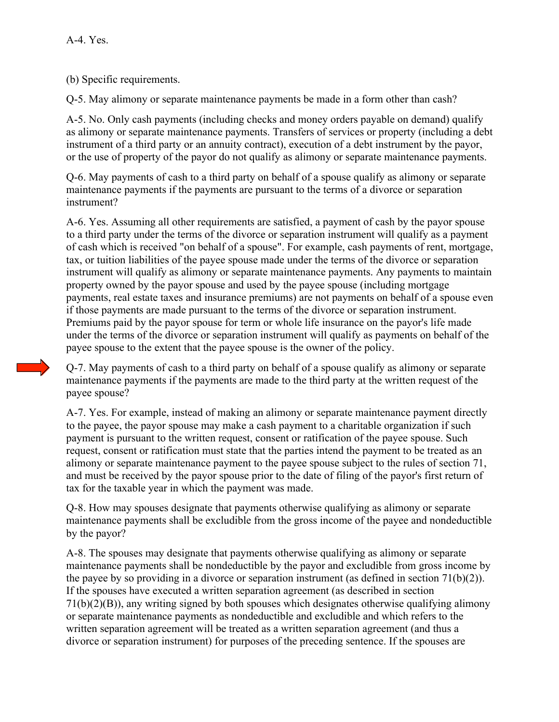(b) Specific requirements.

Q-5. May alimony or separate maintenance payments be made in a form other than cash?

A-5. No. Only cash payments (including checks and money orders payable on demand) qualify as alimony or separate maintenance payments. Transfers of services or property (including a debt instrument of a third party or an annuity contract), execution of a debt instrument by the payor, or the use of property of the payor do not qualify as alimony or separate maintenance payments.

Q-6. May payments of cash to a third party on behalf of a spouse qualify as alimony or separate maintenance payments if the payments are pursuant to the terms of a divorce or separation instrument?

A-6. Yes. Assuming all other requirements are satisfied, a payment of cash by the payor spouse to a third party under the terms of the divorce or separation instrument will qualify as a payment of cash which is received "on behalf of a spouse". For example, cash payments of rent, mortgage, tax, or tuition liabilities of the payee spouse made under the terms of the divorce or separation instrument will qualify as alimony or separate maintenance payments. Any payments to maintain property owned by the payor spouse and used by the payee spouse (including mortgage payments, real estate taxes and insurance premiums) are not payments on behalf of a spouse even if those payments are made pursuant to the terms of the divorce or separation instrument. Premiums paid by the payor spouse for term or whole life insurance on the payor's life made under the terms of the divorce or separation instrument will qualify as payments on behalf of the payee spouse to the extent that the payee spouse is the owner of the policy.

Q-7. May payments of cash to a third party on behalf of a spouse qualify as alimony or separate maintenance payments if the payments are made to the third party at the written request of the payee spouse?

A-7. Yes. For example, instead of making an alimony or separate maintenance payment directly to the payee, the payor spouse may make a cash payment to a charitable organization if such payment is pursuant to the written request, consent or ratification of the payee spouse. Such request, consent or ratification must state that the parties intend the payment to be treated as an alimony or separate maintenance payment to the payee spouse subject to the rules of section 71, and must be received by the payor spouse prior to the date of filing of the payor's first return of tax for the taxable year in which the payment was made.

Q-8. How may spouses designate that payments otherwise qualifying as alimony or separate maintenance payments shall be excludible from the gross income of the payee and nondeductible by the payor?

A-8. The spouses may designate that payments otherwise qualifying as alimony or separate maintenance payments shall be nondeductible by the payor and excludible from gross income by the payee by so providing in a divorce or separation instrument (as defined in section 71(b)(2)). If the spouses have executed a written separation agreement (as described in section 71(b)(2)(B)), any writing signed by both spouses which designates otherwise qualifying alimony or separate maintenance payments as nondeductible and excludible and which refers to the written separation agreement will be treated as a written separation agreement (and thus a divorce or separation instrument) for purposes of the preceding sentence. If the spouses are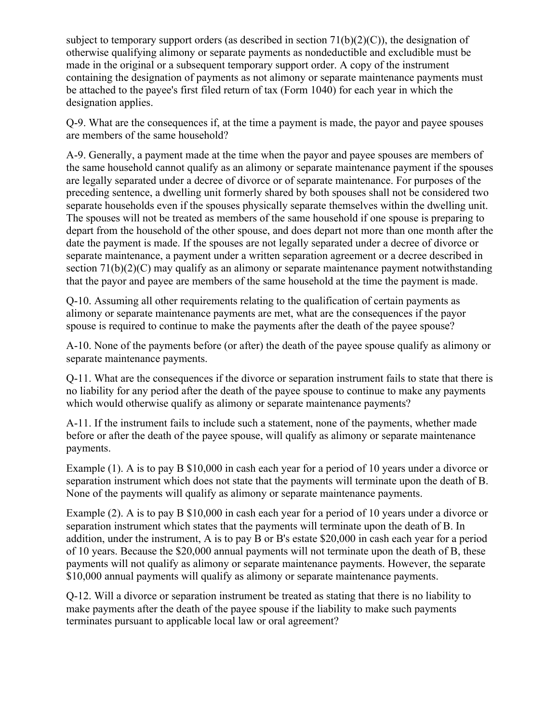subject to temporary support orders (as described in section  $71(b)(2)(C)$ ), the designation of otherwise qualifying alimony or separate payments as nondeductible and excludible must be made in the original or a subsequent temporary support order. A copy of the instrument containing the designation of payments as not alimony or separate maintenance payments must be attached to the payee's first filed return of tax (Form 1040) for each year in which the designation applies.

Q-9. What are the consequences if, at the time a payment is made, the payor and payee spouses are members of the same household?

A-9. Generally, a payment made at the time when the payor and payee spouses are members of the same household cannot qualify as an alimony or separate maintenance payment if the spouses are legally separated under a decree of divorce or of separate maintenance. For purposes of the preceding sentence, a dwelling unit formerly shared by both spouses shall not be considered two separate households even if the spouses physically separate themselves within the dwelling unit. The spouses will not be treated as members of the same household if one spouse is preparing to depart from the household of the other spouse, and does depart not more than one month after the date the payment is made. If the spouses are not legally separated under a decree of divorce or separate maintenance, a payment under a written separation agreement or a decree described in section 71(b)(2)(C) may qualify as an alimony or separate maintenance payment notwithstanding that the payor and payee are members of the same household at the time the payment is made.

Q-10. Assuming all other requirements relating to the qualification of certain payments as alimony or separate maintenance payments are met, what are the consequences if the payor spouse is required to continue to make the payments after the death of the payee spouse?

A-10. None of the payments before (or after) the death of the payee spouse qualify as alimony or separate maintenance payments.

Q-11. What are the consequences if the divorce or separation instrument fails to state that there is no liability for any period after the death of the payee spouse to continue to make any payments which would otherwise qualify as alimony or separate maintenance payments?

A-11. If the instrument fails to include such a statement, none of the payments, whether made before or after the death of the payee spouse, will qualify as alimony or separate maintenance payments.

Example (1). A is to pay B \$10,000 in cash each year for a period of 10 years under a divorce or separation instrument which does not state that the payments will terminate upon the death of B. None of the payments will qualify as alimony or separate maintenance payments.

Example (2). A is to pay B \$10,000 in cash each year for a period of 10 years under a divorce or separation instrument which states that the payments will terminate upon the death of B. In addition, under the instrument, A is to pay B or B's estate \$20,000 in cash each year for a period of 10 years. Because the \$20,000 annual payments will not terminate upon the death of B, these payments will not qualify as alimony or separate maintenance payments. However, the separate \$10,000 annual payments will qualify as alimony or separate maintenance payments.

Q-12. Will a divorce or separation instrument be treated as stating that there is no liability to make payments after the death of the payee spouse if the liability to make such payments terminates pursuant to applicable local law or oral agreement?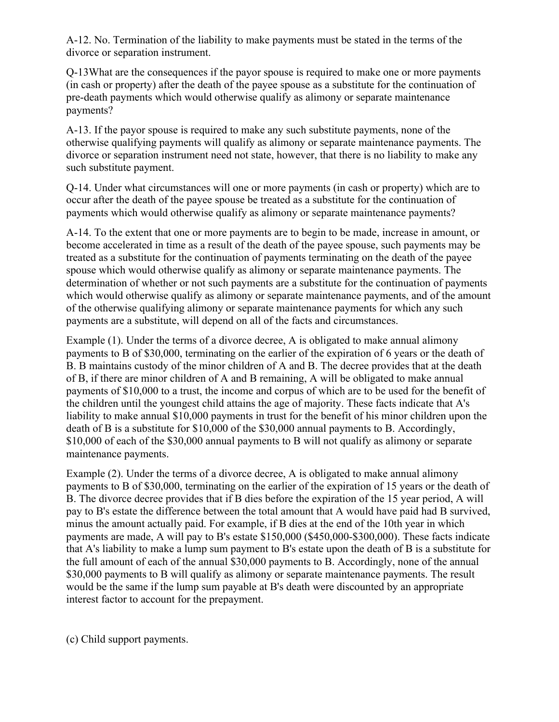A-12. No. Termination of the liability to make payments must be stated in the terms of the divorce or separation instrument.

Q-13What are the consequences if the payor spouse is required to make one or more payments (in cash or property) after the death of the payee spouse as a substitute for the continuation of pre-death payments which would otherwise qualify as alimony or separate maintenance payments?

A-13. If the payor spouse is required to make any such substitute payments, none of the otherwise qualifying payments will qualify as alimony or separate maintenance payments. The divorce or separation instrument need not state, however, that there is no liability to make any such substitute payment.

Q-14. Under what circumstances will one or more payments (in cash or property) which are to occur after the death of the payee spouse be treated as a substitute for the continuation of payments which would otherwise qualify as alimony or separate maintenance payments?

A-14. To the extent that one or more payments are to begin to be made, increase in amount, or become accelerated in time as a result of the death of the payee spouse, such payments may be treated as a substitute for the continuation of payments terminating on the death of the payee spouse which would otherwise qualify as alimony or separate maintenance payments. The determination of whether or not such payments are a substitute for the continuation of payments which would otherwise qualify as alimony or separate maintenance payments, and of the amount of the otherwise qualifying alimony or separate maintenance payments for which any such payments are a substitute, will depend on all of the facts and circumstances.

Example (1). Under the terms of a divorce decree, A is obligated to make annual alimony payments to B of \$30,000, terminating on the earlier of the expiration of 6 years or the death of B. B maintains custody of the minor children of A and B. The decree provides that at the death of B, if there are minor children of A and B remaining, A will be obligated to make annual payments of \$10,000 to a trust, the income and corpus of which are to be used for the benefit of the children until the youngest child attains the age of majority. These facts indicate that A's liability to make annual \$10,000 payments in trust for the benefit of his minor children upon the death of B is a substitute for \$10,000 of the \$30,000 annual payments to B. Accordingly, \$10,000 of each of the \$30,000 annual payments to B will not qualify as alimony or separate maintenance payments.

Example (2). Under the terms of a divorce decree, A is obligated to make annual alimony payments to B of \$30,000, terminating on the earlier of the expiration of 15 years or the death of B. The divorce decree provides that if B dies before the expiration of the 15 year period, A will pay to B's estate the difference between the total amount that A would have paid had B survived, minus the amount actually paid. For example, if B dies at the end of the 10th year in which payments are made, A will pay to B's estate \$150,000 (\$450,000-\$300,000). These facts indicate that A's liability to make a lump sum payment to B's estate upon the death of B is a substitute for the full amount of each of the annual \$30,000 payments to B. Accordingly, none of the annual \$30,000 payments to B will qualify as alimony or separate maintenance payments. The result would be the same if the lump sum payable at B's death were discounted by an appropriate interest factor to account for the prepayment.

(c) Child support payments.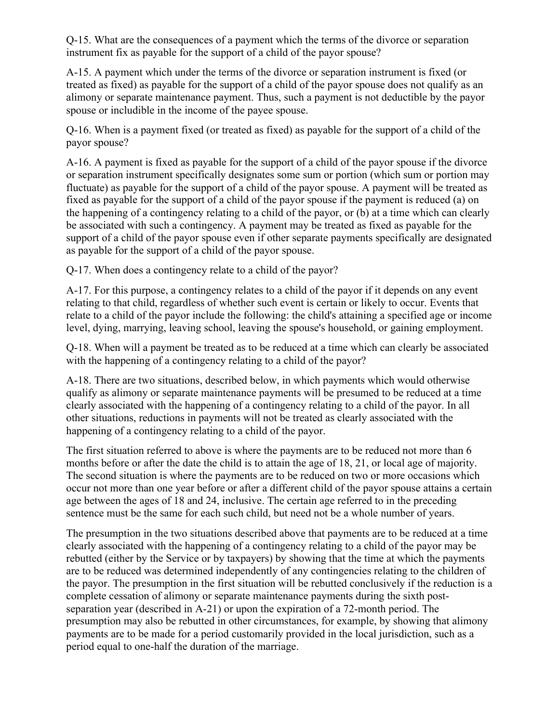Q-15. What are the consequences of a payment which the terms of the divorce or separation instrument fix as payable for the support of a child of the payor spouse?

A-15. A payment which under the terms of the divorce or separation instrument is fixed (or treated as fixed) as payable for the support of a child of the payor spouse does not qualify as an alimony or separate maintenance payment. Thus, such a payment is not deductible by the payor spouse or includible in the income of the payee spouse.

Q-16. When is a payment fixed (or treated as fixed) as payable for the support of a child of the payor spouse?

A-16. A payment is fixed as payable for the support of a child of the payor spouse if the divorce or separation instrument specifically designates some sum or portion (which sum or portion may fluctuate) as payable for the support of a child of the payor spouse. A payment will be treated as fixed as payable for the support of a child of the payor spouse if the payment is reduced (a) on the happening of a contingency relating to a child of the payor, or (b) at a time which can clearly be associated with such a contingency. A payment may be treated as fixed as payable for the support of a child of the payor spouse even if other separate payments specifically are designated as payable for the support of a child of the payor spouse.

Q-17. When does a contingency relate to a child of the payor?

A-17. For this purpose, a contingency relates to a child of the payor if it depends on any event relating to that child, regardless of whether such event is certain or likely to occur. Events that relate to a child of the payor include the following: the child's attaining a specified age or income level, dying, marrying, leaving school, leaving the spouse's household, or gaining employment.

Q-18. When will a payment be treated as to be reduced at a time which can clearly be associated with the happening of a contingency relating to a child of the payor?

A-18. There are two situations, described below, in which payments which would otherwise qualify as alimony or separate maintenance payments will be presumed to be reduced at a time clearly associated with the happening of a contingency relating to a child of the payor. In all other situations, reductions in payments will not be treated as clearly associated with the happening of a contingency relating to a child of the payor.

The first situation referred to above is where the payments are to be reduced not more than 6 months before or after the date the child is to attain the age of 18, 21, or local age of majority. The second situation is where the payments are to be reduced on two or more occasions which occur not more than one year before or after a different child of the payor spouse attains a certain age between the ages of 18 and 24, inclusive. The certain age referred to in the preceding sentence must be the same for each such child, but need not be a whole number of years.

The presumption in the two situations described above that payments are to be reduced at a time clearly associated with the happening of a contingency relating to a child of the payor may be rebutted (either by the Service or by taxpayers) by showing that the time at which the payments are to be reduced was determined independently of any contingencies relating to the children of the payor. The presumption in the first situation will be rebutted conclusively if the reduction is a complete cessation of alimony or separate maintenance payments during the sixth postseparation year (described in A-21) or upon the expiration of a 72-month period. The presumption may also be rebutted in other circumstances, for example, by showing that alimony payments are to be made for a period customarily provided in the local jurisdiction, such as a period equal to one-half the duration of the marriage.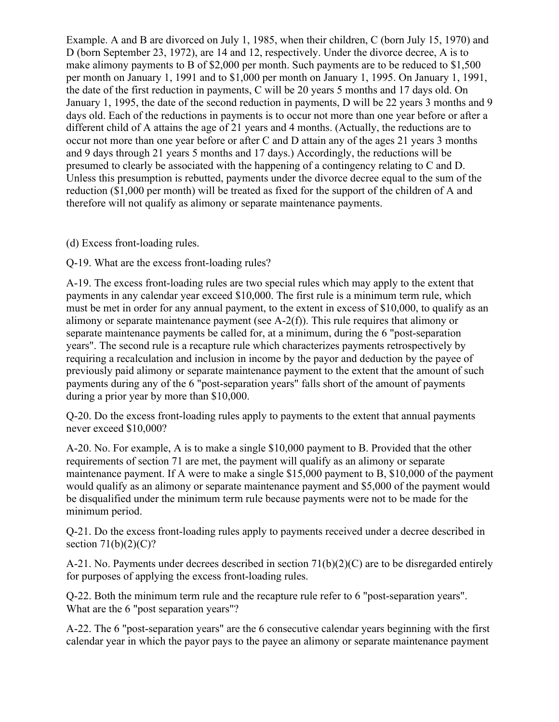Example. A and B are divorced on July 1, 1985, when their children, C (born July 15, 1970) and D (born September 23, 1972), are 14 and 12, respectively. Under the divorce decree, A is to make alimony payments to B of \$2,000 per month. Such payments are to be reduced to \$1,500 per month on January 1, 1991 and to \$1,000 per month on January 1, 1995. On January 1, 1991, the date of the first reduction in payments, C will be 20 years 5 months and 17 days old. On January 1, 1995, the date of the second reduction in payments, D will be 22 years 3 months and 9 days old. Each of the reductions in payments is to occur not more than one year before or after a different child of A attains the age of 21 years and 4 months. (Actually, the reductions are to occur not more than one year before or after C and D attain any of the ages 21 years 3 months and 9 days through 21 years 5 months and 17 days.) Accordingly, the reductions will be presumed to clearly be associated with the happening of a contingency relating to C and D. Unless this presumption is rebutted, payments under the divorce decree equal to the sum of the reduction (\$1,000 per month) will be treated as fixed for the support of the children of A and therefore will not qualify as alimony or separate maintenance payments.

(d) Excess front-loading rules.

Q-19. What are the excess front-loading rules?

A-19. The excess front-loading rules are two special rules which may apply to the extent that payments in any calendar year exceed \$10,000. The first rule is a minimum term rule, which must be met in order for any annual payment, to the extent in excess of \$10,000, to qualify as an alimony or separate maintenance payment (see A-2(f)). This rule requires that alimony or separate maintenance payments be called for, at a minimum, during the 6 "post-separation years". The second rule is a recapture rule which characterizes payments retrospectively by requiring a recalculation and inclusion in income by the payor and deduction by the payee of previously paid alimony or separate maintenance payment to the extent that the amount of such payments during any of the 6 "post-separation years" falls short of the amount of payments during a prior year by more than \$10,000.

Q-20. Do the excess front-loading rules apply to payments to the extent that annual payments never exceed \$10,000?

A-20. No. For example, A is to make a single \$10,000 payment to B. Provided that the other requirements of section 71 are met, the payment will qualify as an alimony or separate maintenance payment. If A were to make a single \$15,000 payment to B, \$10,000 of the payment would qualify as an alimony or separate maintenance payment and \$5,000 of the payment would be disqualified under the minimum term rule because payments were not to be made for the minimum period.

Q-21. Do the excess front-loading rules apply to payments received under a decree described in section  $71(b)(2)(C)?$ 

A-21. No. Payments under decrees described in section 71(b)(2)(C) are to be disregarded entirely for purposes of applying the excess front-loading rules.

Q-22. Both the minimum term rule and the recapture rule refer to 6 "post-separation years". What are the 6 "post separation years"?

A-22. The 6 "post-separation years" are the 6 consecutive calendar years beginning with the first calendar year in which the payor pays to the payee an alimony or separate maintenance payment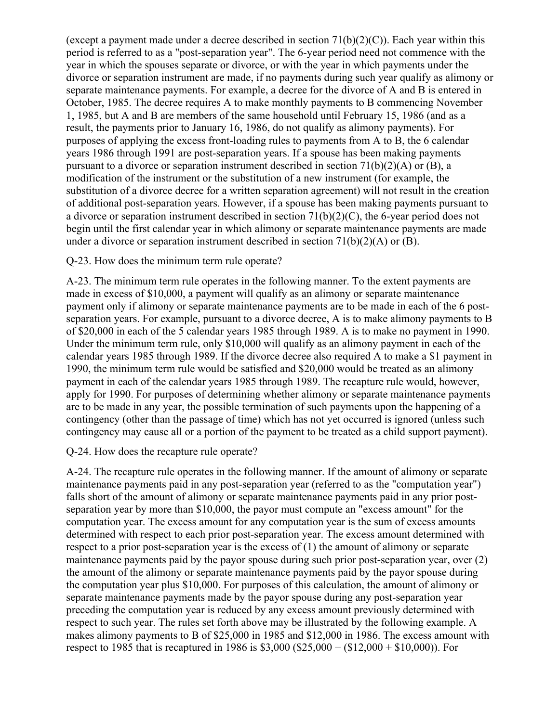(except a payment made under a decree described in section  $71(b)(2)(C)$ ). Each year within this period is referred to as a "post-separation year". The 6-year period need not commence with the year in which the spouses separate or divorce, or with the year in which payments under the divorce or separation instrument are made, if no payments during such year qualify as alimony or separate maintenance payments. For example, a decree for the divorce of A and B is entered in October, 1985. The decree requires A to make monthly payments to B commencing November 1, 1985, but A and B are members of the same household until February 15, 1986 (and as a result, the payments prior to January 16, 1986, do not qualify as alimony payments). For purposes of applying the excess front-loading rules to payments from A to B, the 6 calendar years 1986 through 1991 are post-separation years. If a spouse has been making payments pursuant to a divorce or separation instrument described in section 71(b)(2)(A) or (B), a modification of the instrument or the substitution of a new instrument (for example, the substitution of a divorce decree for a written separation agreement) will not result in the creation of additional post-separation years. However, if a spouse has been making payments pursuant to a divorce or separation instrument described in section 71(b)(2)(C), the 6-year period does not begin until the first calendar year in which alimony or separate maintenance payments are made under a divorce or separation instrument described in section  $71(b)(2)(A)$  or (B).

## Q-23. How does the minimum term rule operate?

A-23. The minimum term rule operates in the following manner. To the extent payments are made in excess of \$10,000, a payment will qualify as an alimony or separate maintenance payment only if alimony or separate maintenance payments are to be made in each of the 6 postseparation years. For example, pursuant to a divorce decree, A is to make alimony payments to B of \$20,000 in each of the 5 calendar years 1985 through 1989. A is to make no payment in 1990. Under the minimum term rule, only \$10,000 will qualify as an alimony payment in each of the calendar years 1985 through 1989. If the divorce decree also required A to make a \$1 payment in 1990, the minimum term rule would be satisfied and \$20,000 would be treated as an alimony payment in each of the calendar years 1985 through 1989. The recapture rule would, however, apply for 1990. For purposes of determining whether alimony or separate maintenance payments are to be made in any year, the possible termination of such payments upon the happening of a contingency (other than the passage of time) which has not yet occurred is ignored (unless such contingency may cause all or a portion of the payment to be treated as a child support payment).

## Q-24. How does the recapture rule operate?

A-24. The recapture rule operates in the following manner. If the amount of alimony or separate maintenance payments paid in any post-separation year (referred to as the "computation year") falls short of the amount of alimony or separate maintenance payments paid in any prior postseparation year by more than \$10,000, the payor must compute an "excess amount" for the computation year. The excess amount for any computation year is the sum of excess amounts determined with respect to each prior post-separation year. The excess amount determined with respect to a prior post-separation year is the excess of (1) the amount of alimony or separate maintenance payments paid by the payor spouse during such prior post-separation year, over (2) the amount of the alimony or separate maintenance payments paid by the payor spouse during the computation year plus \$10,000. For purposes of this calculation, the amount of alimony or separate maintenance payments made by the payor spouse during any post-separation year preceding the computation year is reduced by any excess amount previously determined with respect to such year. The rules set forth above may be illustrated by the following example. A makes alimony payments to B of \$25,000 in 1985 and \$12,000 in 1986. The excess amount with respect to 1985 that is recaptured in 1986 is \$3,000 (\$25,000 − (\$12,000 + \$10,000)). For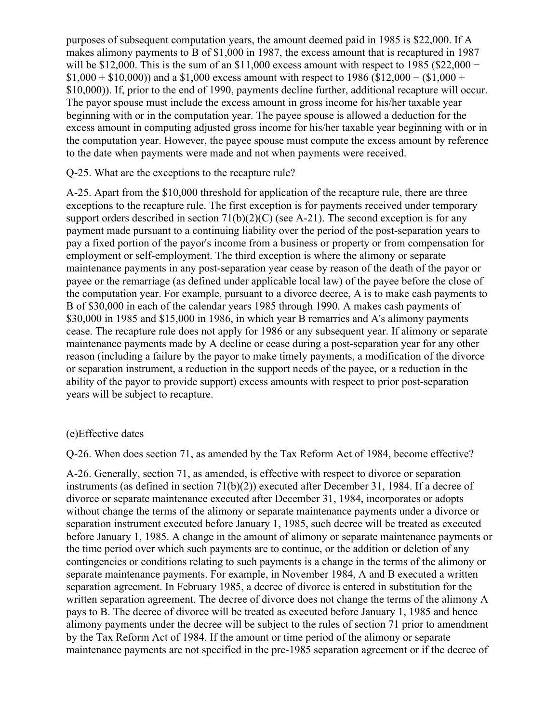purposes of subsequent computation years, the amount deemed paid in 1985 is \$22,000. If A makes alimony payments to B of \$1,000 in 1987, the excess amount that is recaptured in 1987 will be \$12,000. This is the sum of an  $$11,000$  excess amount with respect to 1985 (\$22,000 –  $$1,000 + $10,000$ ) and a \$1,000 excess amount with respect to 1986 (\$12,000 – (\$1,000 + \$10,000)). If, prior to the end of 1990, payments decline further, additional recapture will occur. The payor spouse must include the excess amount in gross income for his/her taxable year beginning with or in the computation year. The payee spouse is allowed a deduction for the excess amount in computing adjusted gross income for his/her taxable year beginning with or in the computation year. However, the payee spouse must compute the excess amount by reference to the date when payments were made and not when payments were received.

Q-25. What are the exceptions to the recapture rule?

A-25. Apart from the \$10,000 threshold for application of the recapture rule, there are three exceptions to the recapture rule. The first exception is for payments received under temporary support orders described in section  $71(b)(2)(C)$  (see A-21). The second exception is for any payment made pursuant to a continuing liability over the period of the post-separation years to pay a fixed portion of the payor's income from a business or property or from compensation for employment or self-employment. The third exception is where the alimony or separate maintenance payments in any post-separation year cease by reason of the death of the payor or payee or the remarriage (as defined under applicable local law) of the payee before the close of the computation year. For example, pursuant to a divorce decree, A is to make cash payments to B of \$30,000 in each of the calendar years 1985 through 1990. A makes cash payments of \$30,000 in 1985 and \$15,000 in 1986, in which year B remarries and A's alimony payments cease. The recapture rule does not apply for 1986 or any subsequent year. If alimony or separate maintenance payments made by A decline or cease during a post-separation year for any other reason (including a failure by the payor to make timely payments, a modification of the divorce or separation instrument, a reduction in the support needs of the payee, or a reduction in the ability of the payor to provide support) excess amounts with respect to prior post-separation years will be subject to recapture.

## (e)Effective dates

Q-26. When does section 71, as amended by the Tax Reform Act of 1984, become effective?

A-26. Generally, section 71, as amended, is effective with respect to divorce or separation instruments (as defined in section 71(b)(2)) executed after December 31, 1984. If a decree of divorce or separate maintenance executed after December 31, 1984, incorporates or adopts without change the terms of the alimony or separate maintenance payments under a divorce or separation instrument executed before January 1, 1985, such decree will be treated as executed before January 1, 1985. A change in the amount of alimony or separate maintenance payments or the time period over which such payments are to continue, or the addition or deletion of any contingencies or conditions relating to such payments is a change in the terms of the alimony or separate maintenance payments. For example, in November 1984, A and B executed a written separation agreement. In February 1985, a decree of divorce is entered in substitution for the written separation agreement. The decree of divorce does not change the terms of the alimony A pays to B. The decree of divorce will be treated as executed before January 1, 1985 and hence alimony payments under the decree will be subject to the rules of section 71 prior to amendment by the Tax Reform Act of 1984. If the amount or time period of the alimony or separate maintenance payments are not specified in the pre-1985 separation agreement or if the decree of